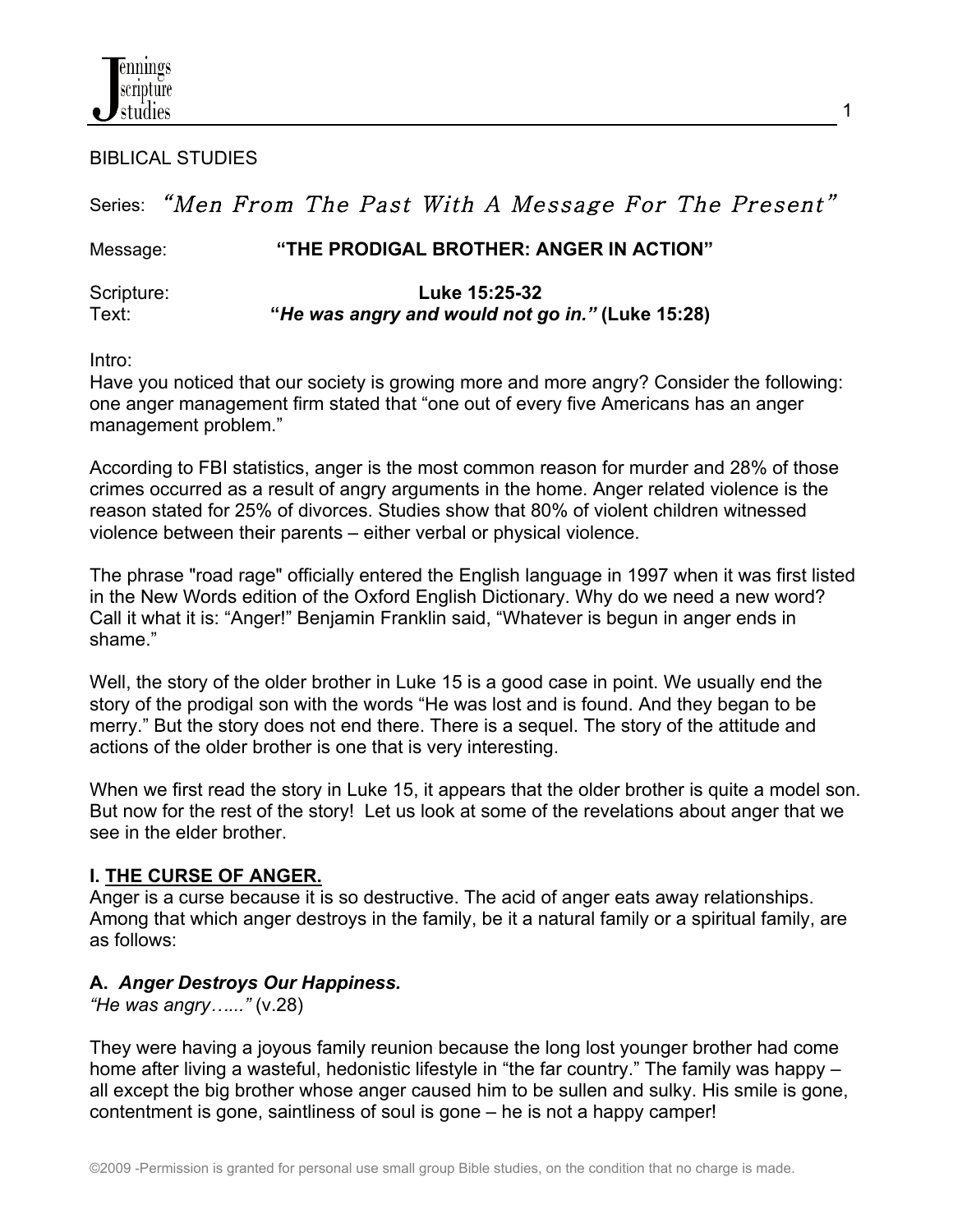

BIBLICAL STUDIES

# Series: "Men From The Past With A Message For The Present"

#### Message: **"THE PRODIGAL BROTHER: ANGER IN ACTION"**

Scripture: **Luke 15:25-32** Text: **"***He was angry and would not go in."* **(Luke 15:28)**

Intro:

Have you noticed that our society is growing more and more angry? Consider the following: one anger management firm stated that "one out of every five Americans has an anger management problem."

According to FBI statistics, anger is the most common reason for murder and 28% of those crimes occurred as a result of angry arguments in the home. Anger related violence is the reason stated for 25% of divorces. Studies show that 80% of violent children witnessed violence between their parents – either verbal or physical violence.

The phrase "road rage" officially entered the English language in 1997 when it was first listed in the New Words edition of the Oxford English Dictionary. Why do we need a new word? Call it what it is: "Anger!" Benjamin Franklin said, "Whatever is begun in anger ends in shame."

Well, the story of the older brother in Luke 15 is a good case in point. We usually end the story of the prodigal son with the words "He was lost and is found. And they began to be merry." But the story does not end there. There is a sequel. The story of the attitude and actions of the older brother is one that is very interesting.

When we first read the story in Luke 15, it appears that the older brother is quite a model son. But now for the rest of the story! Let us look at some of the revelations about anger that we see in the elder brother.

## **I. THE CURSE OF ANGER.**

Anger is a curse because it is so destructive. The acid of anger eats away relationships. Among that which anger destroys in the family, be it a natural family or a spiritual family, are as follows:

## **A.** *Anger Destroys Our Happiness.*

*"He was angry…..."* (v.28)

They were having a joyous family reunion because the long lost younger brother had come home after living a wasteful, hedonistic lifestyle in "the far country." The family was happy – all except the big brother whose anger caused him to be sullen and sulky. His smile is gone, contentment is gone, saintliness of soul is gone – he is not a happy camper!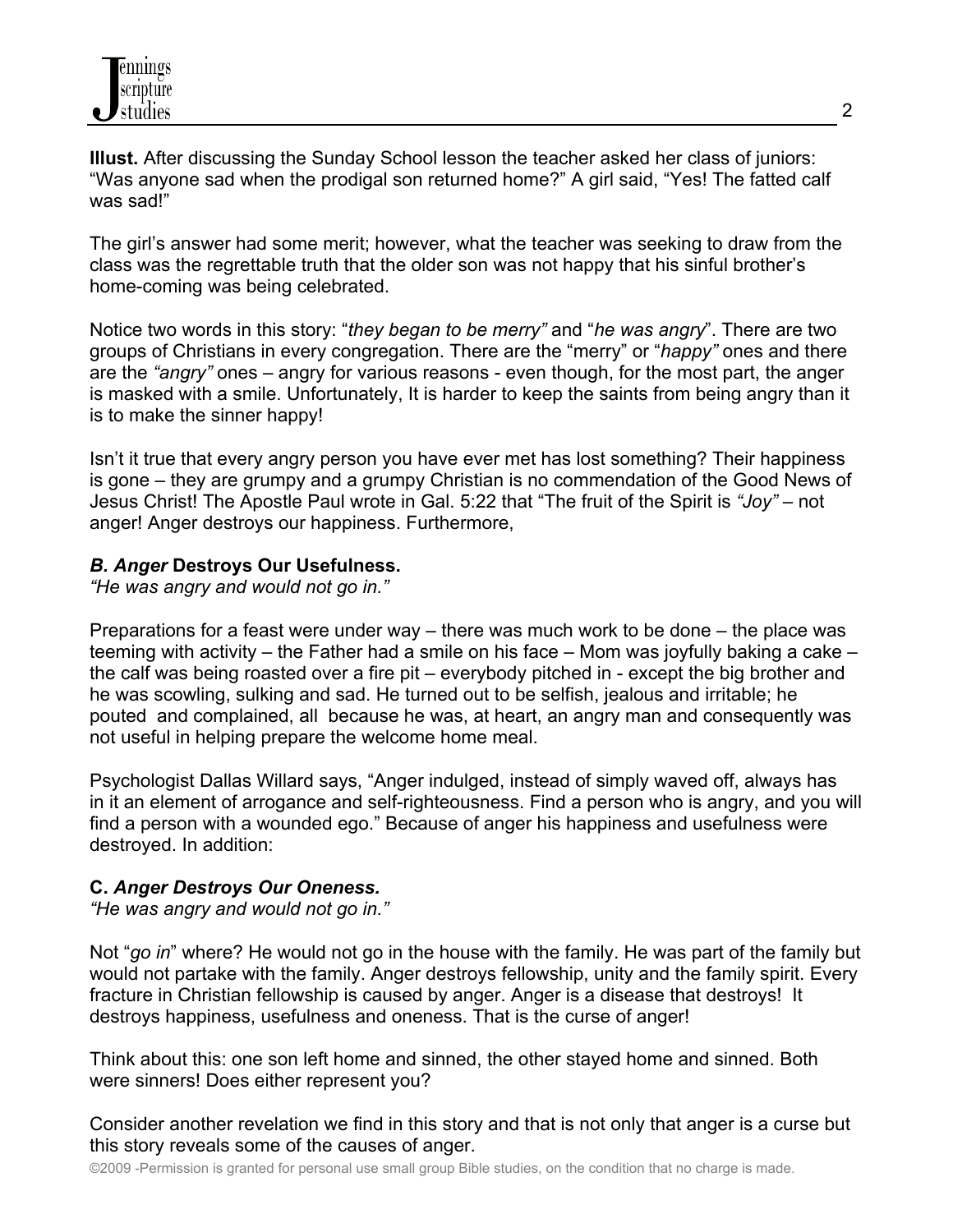**Illust.** After discussing the Sunday School lesson the teacher asked her class of juniors: "Was anyone sad when the prodigal son returned home?" A girl said, "Yes! The fatted calf was sad!"

The girl's answer had some merit; however, what the teacher was seeking to draw from the class was the regrettable truth that the older son was not happy that his sinful brother's home-coming was being celebrated.

Notice two words in this story: "*they began to be merry"* and "*he was angry*". There are two groups of Christians in every congregation. There are the "merry" or "*happy"* ones and there are the *"angry"* ones – angry for various reasons - even though, for the most part, the anger is masked with a smile. Unfortunately, It is harder to keep the saints from being angry than it is to make the sinner happy!

Isn't it true that every angry person you have ever met has lost something? Their happiness is gone – they are grumpy and a grumpy Christian is no commendation of the Good News of Jesus Christ! The Apostle Paul wrote in Gal. 5:22 that "The fruit of the Spirit is *"Joy"* – not anger! Anger destroys our happiness. Furthermore,

## *B. Anger* **Destroys Our Usefulness.**

*"He was angry and would not go in."*

Preparations for a feast were under way – there was much work to be done – the place was teeming with activity – the Father had a smile on his face – Mom was joyfully baking a cake – the calf was being roasted over a fire pit – everybody pitched in - except the big brother and he was scowling, sulking and sad. He turned out to be selfish, jealous and irritable; he pouted and complained, all because he was, at heart, an angry man and consequently was not useful in helping prepare the welcome home meal.

Psychologist Dallas Willard says, "Anger indulged, instead of simply waved off, always has in it an element of arrogance and self-righteousness. Find a person who is angry, and you will find a person with a wounded ego." Because of anger his happiness and usefulness were destroyed. In addition:

## **C.** *Anger Destroys Our Oneness.*

*"He was angry and would not go in."*

Not "*go in*" where? He would not go in the house with the family. He was part of the family but would not partake with the family. Anger destroys fellowship, unity and the family spirit. Every fracture in Christian fellowship is caused by anger. Anger is a disease that destroys! It destroys happiness, usefulness and oneness. That is the curse of anger!

Think about this: one son left home and sinned, the other stayed home and sinned. Both were sinners! Does either represent you?

Consider another revelation we find in this story and that is not only that anger is a curse but this story reveals some of the causes of anger.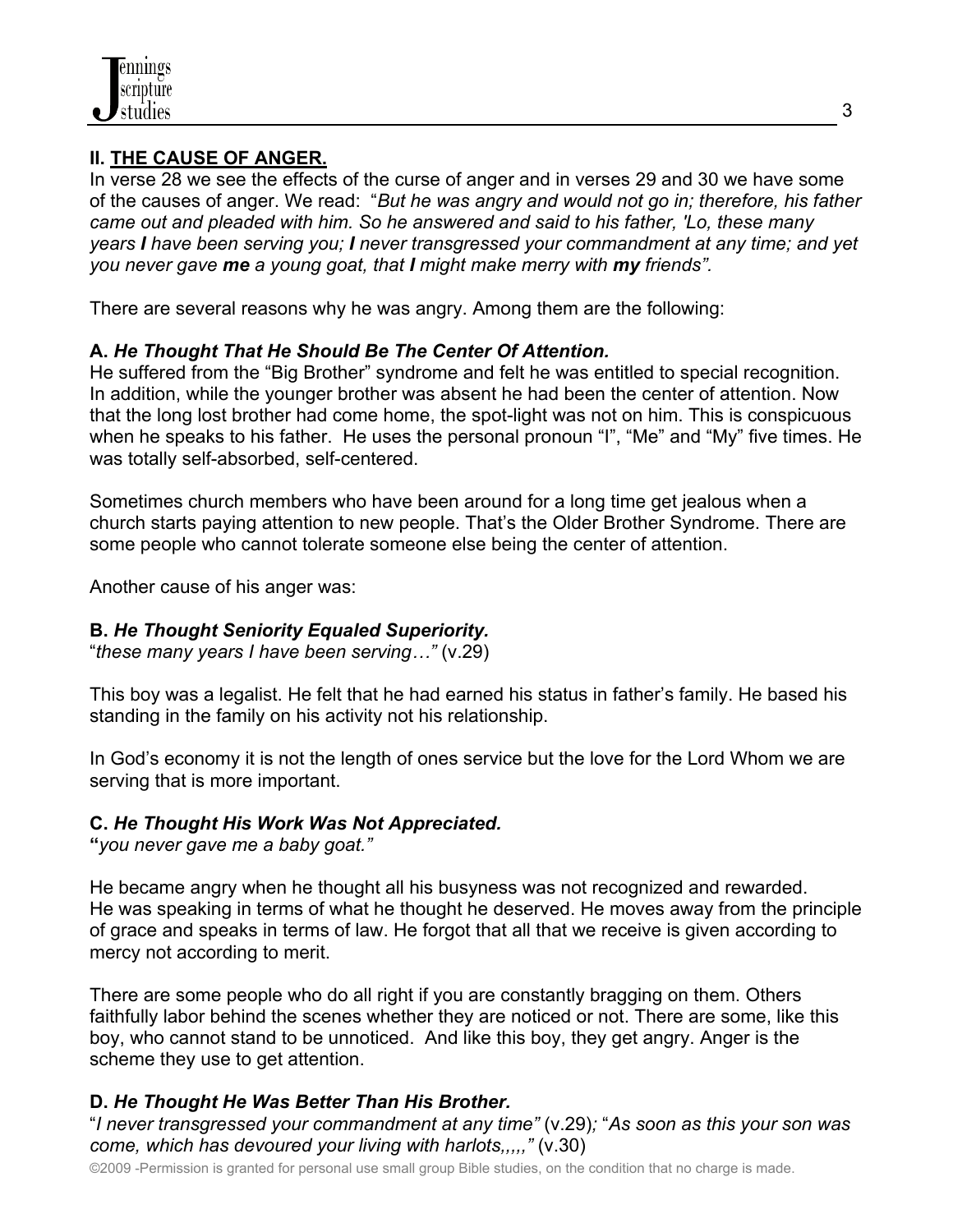

## **II. THE CAUSE OF ANGER.**

In verse 28 we see the effects of the curse of anger and in verses 29 and 30 we have some of the causes of anger. We read: "*But he was angry and would not go in; therefore, his father came out and pleaded with him. So he answered and said to his father, 'Lo, these many years I have been serving you; I never transgressed your commandment at any time; and yet you never gave me a young goat, that I might make merry with my friends".* 

There are several reasons why he was angry. Among them are the following:

## **A.** *He Thought That He Should Be The Center Of Attention.*

He suffered from the "Big Brother" syndrome and felt he was entitled to special recognition. In addition, while the younger brother was absent he had been the center of attention. Now that the long lost brother had come home, the spot-light was not on him. This is conspicuous when he speaks to his father. He uses the personal pronoun "I", "Me" and "My" five times. He was totally self-absorbed, self-centered.

Sometimes church members who have been around for a long time get jealous when a church starts paying attention to new people. That's the Older Brother Syndrome. There are some people who cannot tolerate someone else being the center of attention.

Another cause of his anger was:

## **B.** *He Thought Seniority Equaled Superiority.*

"*these many years I have been serving…"* (v.29)

This boy was a legalist. He felt that he had earned his status in father's family. He based his standing in the family on his activity not his relationship.

In God's economy it is not the length of ones service but the love for the Lord Whom we are serving that is more important.

## **C.** *He Thought His Work Was Not Appreciated.*

**"***you never gave me a baby goat."*

He became angry when he thought all his busyness was not recognized and rewarded. He was speaking in terms of what he thought he deserved. He moves away from the principle of grace and speaks in terms of law. He forgot that all that we receive is given according to mercy not according to merit.

There are some people who do all right if you are constantly bragging on them. Others faithfully labor behind the scenes whether they are noticed or not. There are some, like this boy, who cannot stand to be unnoticed. And like this boy, they get angry. Anger is the scheme they use to get attention.

## **D.** *He Thought He Was Better Than His Brother.*

"*I never transgressed your commandment at any time"* (v.29)*;* "*As soon as this your son was come, which has devoured your living with harlots,,,,,"* (v.30)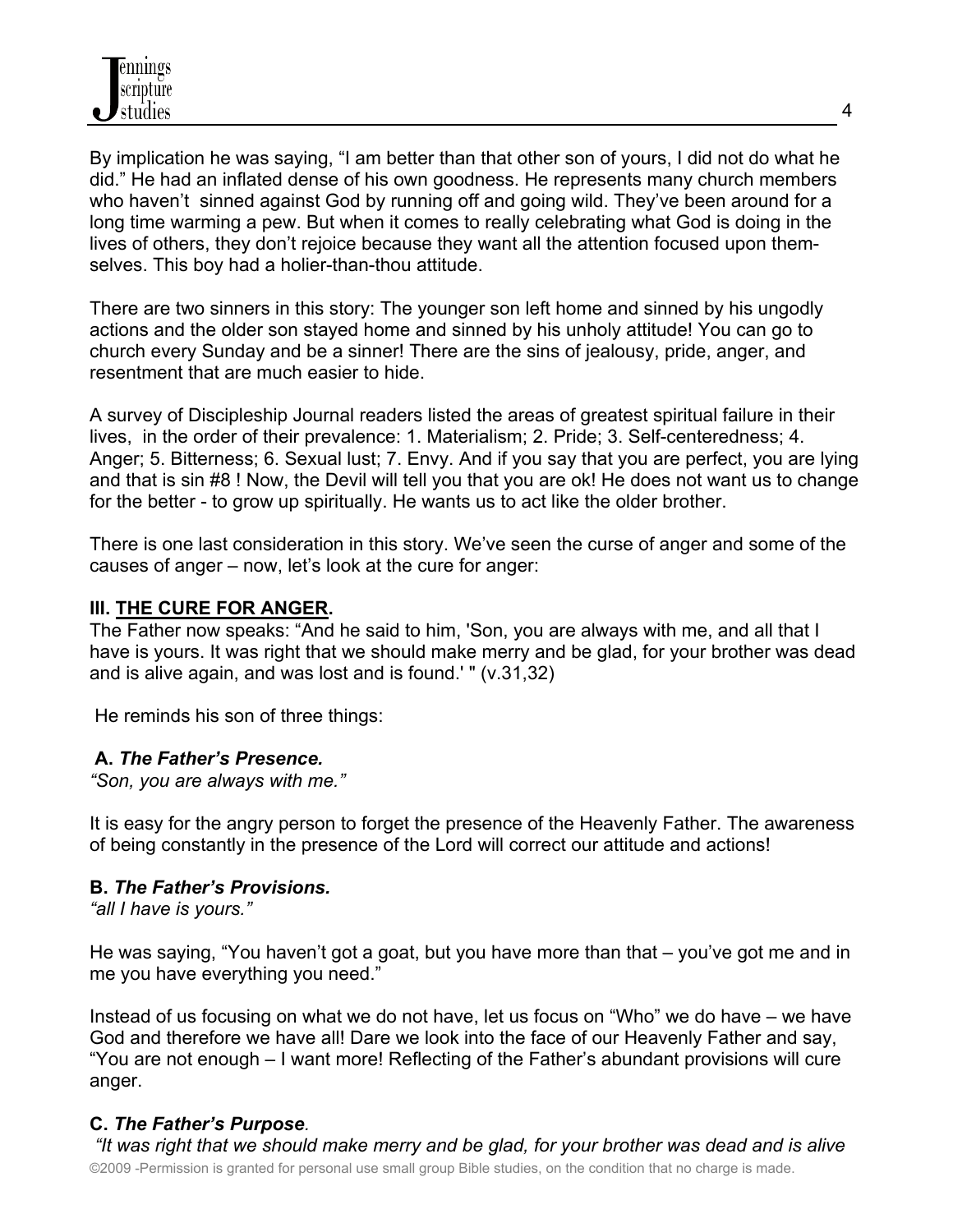By implication he was saying, "I am better than that other son of yours, I did not do what he did." He had an inflated dense of his own goodness. He represents many church members who haven't sinned against God by running off and going wild. They've been around for a long time warming a pew. But when it comes to really celebrating what God is doing in the lives of others, they don't rejoice because they want all the attention focused upon themselves. This boy had a holier-than-thou attitude.

There are two sinners in this story: The younger son left home and sinned by his ungodly actions and the older son stayed home and sinned by his unholy attitude! You can go to church every Sunday and be a sinner! There are the sins of jealousy, pride, anger, and resentment that are much easier to hide.

A survey of Discipleship Journal readers listed the areas of greatest spiritual failure in their lives, in the order of their prevalence: 1. Materialism; 2. Pride; 3. Self-centeredness; 4. Anger; 5. Bitterness; 6. Sexual lust; 7. Envy. And if you say that you are perfect, you are lying and that is sin #8 ! Now, the Devil will tell you that you are ok! He does not want us to change for the better - to grow up spiritually. He wants us to act like the older brother.

There is one last consideration in this story. We've seen the curse of anger and some of the causes of anger – now, let's look at the cure for anger:

## **III. THE CURE FOR ANGER.**

The Father now speaks: "And he said to him, 'Son, you are always with me, and all that I have is yours. It was right that we should make merry and be glad, for your brother was dead and is alive again, and was lost and is found.' " (v.31,32)

He reminds his son of three things:

#### **A.** *The Father's Presence.*

*"Son, you are always with me."* 

It is easy for the angry person to forget the presence of the Heavenly Father. The awareness of being constantly in the presence of the Lord will correct our attitude and actions!

#### **B.** *The Father's Provisions.*

*"all I have is yours."* 

He was saying, "You haven't got a goat, but you have more than that – you've got me and in me you have everything you need."

Instead of us focusing on what we do not have, let us focus on "Who" we do have – we have God and therefore we have all! Dare we look into the face of our Heavenly Father and say, "You are not enough – I want more! Reflecting of the Father's abundant provisions will cure anger.

## **C.** *The Father's Purpose.*

©2009 -Permission is granted for personal use small group Bible studies, on the condition that no charge is made. *"It was right that we should make merry and be glad, for your brother was dead and is alive*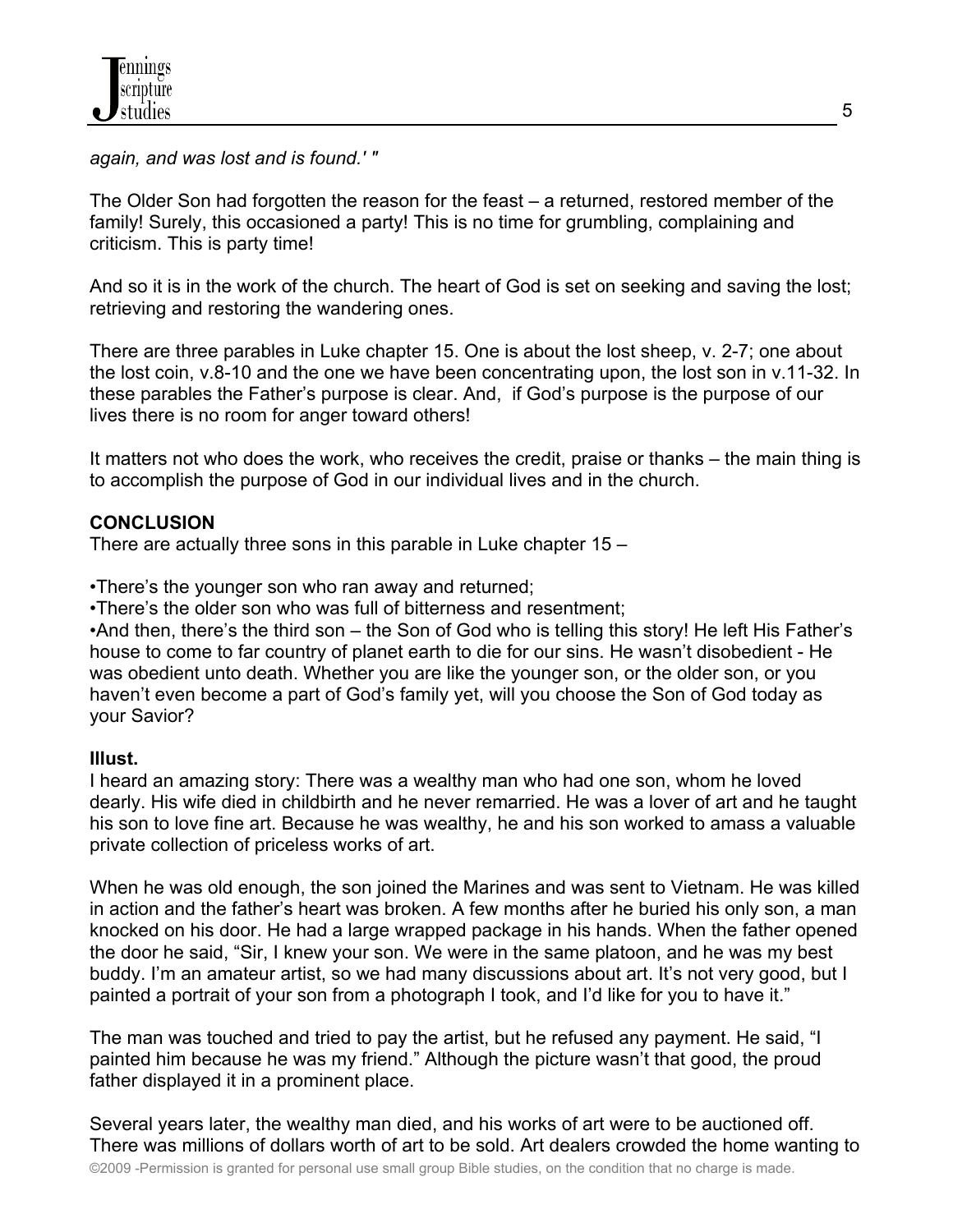*again, and was lost and is found.' "* 

The Older Son had forgotten the reason for the feast – a returned, restored member of the family! Surely, this occasioned a party! This is no time for grumbling, complaining and criticism. This is party time!

And so it is in the work of the church. The heart of God is set on seeking and saving the lost; retrieving and restoring the wandering ones.

There are three parables in Luke chapter 15. One is about the lost sheep, v. 2-7; one about the lost coin, v.8-10 and the one we have been concentrating upon, the lost son in v.11-32. In these parables the Father's purpose is clear. And, if God's purpose is the purpose of our lives there is no room for anger toward others!

It matters not who does the work, who receives the credit, praise or thanks – the main thing is to accomplish the purpose of God in our individual lives and in the church.

#### **CONCLUSION**

There are actually three sons in this parable in Luke chapter 15 –

•There's the younger son who ran away and returned;

•There's the older son who was full of bitterness and resentment;

•And then, there's the third son – the Son of God who is telling this story! He left His Father's house to come to far country of planet earth to die for our sins. He wasn't disobedient - He was obedient unto death. Whether you are like the younger son, or the older son, or you haven't even become a part of God's family yet, will you choose the Son of God today as your Savior?

#### **Illust.**

I heard an amazing story: There was a wealthy man who had one son, whom he loved dearly. His wife died in childbirth and he never remarried. He was a lover of art and he taught his son to love fine art. Because he was wealthy, he and his son worked to amass a valuable private collection of priceless works of art.

When he was old enough, the son joined the Marines and was sent to Vietnam. He was killed in action and the father's heart was broken. A few months after he buried his only son, a man knocked on his door. He had a large wrapped package in his hands. When the father opened the door he said, "Sir, I knew your son. We were in the same platoon, and he was my best buddy. I'm an amateur artist, so we had many discussions about art. It's not very good, but I painted a portrait of your son from a photograph I took, and I'd like for you to have it."

The man was touched and tried to pay the artist, but he refused any payment. He said, "I painted him because he was my friend." Although the picture wasn't that good, the proud father displayed it in a prominent place.

Several years later, the wealthy man died, and his works of art were to be auctioned off. There was millions of dollars worth of art to be sold. Art dealers crowded the home wanting to